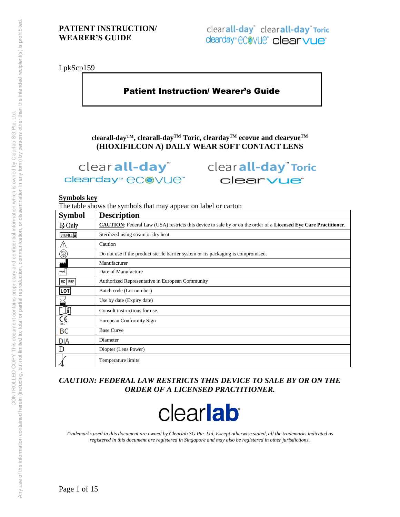LpkScp159

# Patient Instruction/ Wearer's Guide

**clearall-dayTM, clearall-dayTM Toric, cleardayTM ecovue and clearvueTM (HIOXIFILCON A) DAILY WEAR SOFT CONTACT LENS** 

clearday<sup>™</sup> eCOVUe<sup>™</sup>

clearall-day<sup>"</sup> clearall-day<sup>"</sup> Toric clearvue<sup>®</sup>

#### **Symbols key**

The table shows the symbols that may appear on label or carton

| <b>Symbol</b>                 | <b>Description</b>                                                                                                      |
|-------------------------------|-------------------------------------------------------------------------------------------------------------------------|
| <b>R</b> Only                 | <b>CAUTION:</b> Federal Law (USA) restricts this device to sale by or on the order of a Licensed Eye Care Practitioner. |
| STERILE <sup>D</sup>          | Sterilized using steam or dry heat                                                                                      |
|                               | Caution                                                                                                                 |
| $\circledR$                   | Do not use if the product sterile barrier system or its packaging is compromised.                                       |
|                               | Manufacturer                                                                                                            |
| ∼∾                            | Date of Manufacture                                                                                                     |
| EC   REP                      | Authorized Representative in European Community                                                                         |
| LOT                           | Batch code (Lot number)                                                                                                 |
|                               | Use by date (Expiry date)                                                                                               |
| i                             | Consult instructions for use.                                                                                           |
| $\mathcal{C}_{\mathsf{G123}}$ | European Conformity Sign                                                                                                |
| BC                            | <b>Base Curve</b>                                                                                                       |
| <b>DIA</b>                    | Diameter                                                                                                                |
| D                             | Diopter (Lens Power)                                                                                                    |
|                               | Temperature limits                                                                                                      |

*CAUTION: FEDERAL LAW RESTRICTS THIS DEVICE TO SALE BY OR ON THE ORDER OF A LICENSED PRACTITIONER.* 



*Trademarks used in this document are owned by Clearlab SG Pte. Ltd. Except otherwise stated, all the trademarks indicated as registered in this document are registered in Singapore and may also be registered in other jurisdictions.*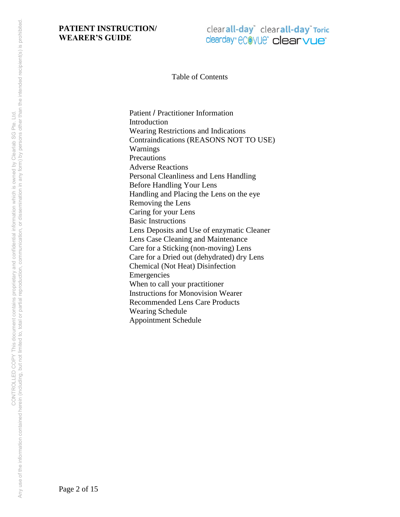# clearall-day<sup>\*</sup> clearall-day<sup>\*</sup> Toric clearday" ecovue" clearvue

Table of Contents

Patient / Practitioner Information **Introduction** Wearing Restrictions and Indications Contraindications (REASONS NOT TO USE) Warnings **Precautions** Adverse Reactions Personal Cleanliness and Lens Handling Before Handling Your Lens Handling and Placing the Lens on the eye Removing the Lens Caring for your Lens Basic Instructions Lens Deposits and Use of enzymatic Cleaner Lens Case Cleaning and Maintenance Care for a Sticking (non-moving) Lens Care for a Dried out (dehydrated) dry Lens Chemical (Not Heat) Disinfection Emergencies When to call your practitioner Instructions for Monovision Wearer Recommended Lens Care Products Wearing Schedule Appointment Schedule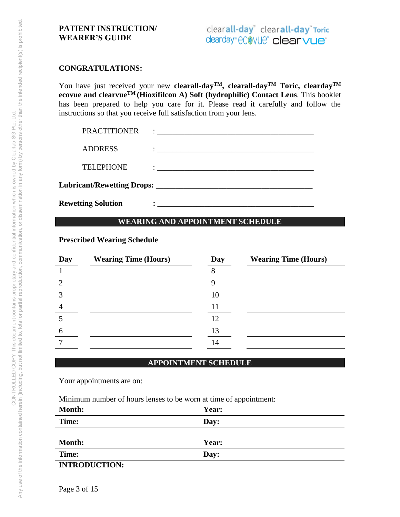#### **CONGRATULATIONS:**

You have just received your new **clearall-dayTM, clearall-dayTM Toric, cleardayTM ecovue and clearvueTM (Hioxifilcon A) Soft (hydrophilic) Contact Lens**. This booklet has been prepared to help you care for it. Please read it carefully and follow the instructions so that you receive full satisfaction from your lens.

| <b>Rewetting Solution</b> |                                                                                                                                                                                                                                      |
|---------------------------|--------------------------------------------------------------------------------------------------------------------------------------------------------------------------------------------------------------------------------------|
|                           |                                                                                                                                                                                                                                      |
| <b>TELEPHONE</b>          | <u> : a construction de la construction de la construction de la construction de la construction de la construction de la construction de la construction de la construction de la construction de la construction de la constru</u> |
| <b>ADDRESS</b>            | <u>i a se conserva de la conservación de la conservación de la conservación de la conservación de la conservación </u>                                                                                                               |
| <b>PRACTITIONER</b>       |                                                                                                                                                                                                                                      |

# **WEARING AND APPOINTMENT SCHEDULE**

## **Prescribed Wearing Schedule**

| Day | <b>Wearing Time (Hours)</b> | Day | <b>Wearing Time (Hours)</b> |
|-----|-----------------------------|-----|-----------------------------|
|     |                             |     |                             |
|     |                             |     |                             |
|     |                             | 10  |                             |
|     |                             |     |                             |
|     |                             | 12  |                             |
|     |                             | 13  |                             |
|     |                             | 14  |                             |
|     |                             |     |                             |

## **APPOINTMENT SCHEDULE**

Your appointments are on:

Minimum number of hours lenses to be worn at time of appointment:

| <b>Month:</b>        | Year: |  |  |
|----------------------|-------|--|--|
| Time:                | Day:  |  |  |
|                      |       |  |  |
| <b>Month:</b>        | Year: |  |  |
| Time:                | Day:  |  |  |
| <b>INTRODUCTION:</b> |       |  |  |

Page 3 of 15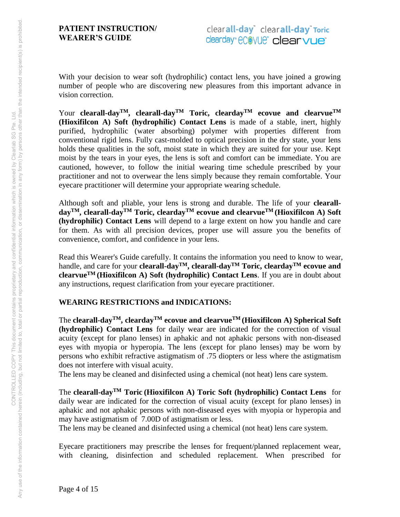With your decision to wear soft (hydrophilic) contact lens, you have joined a growing number of people who are discovering new pleasures from this important advance in vision correction.

Your **clearall-dayTM, clearall-dayTM Toric, cleardayTM ecovue and clearvueTM (Hioxifilcon A) Soft (hydrophilic) Contact Lens** is made of a stable, inert, highly purified, hydrophilic (water absorbing) polymer with properties different from conventional rigid lens. Fully cast-molded to optical precision in the dry state, your lens holds these qualities in the soft, moist state in which they are suited for your use. Kept moist by the tears in your eyes, the lens is soft and comfort can be immediate. You are cautioned, however, to follow the initial wearing time schedule prescribed by your practitioner and not to overwear the lens simply because they remain comfortable. Your eyecare practitioner will determine your appropriate wearing schedule.

Although soft and pliable, your lens is strong and durable. The life of your **clearalldayTM, clearall-dayTM Toric, cleardayTM ecovue and clearvueTM (Hioxifilcon A) Soft (hydrophilic) Contact Lens** will depend to a large extent on how you handle and care for them. As with all precision devices, proper use will assure you the benefits of convenience, comfort, and confidence in your lens.

Read this Wearer's Guide carefully. It contains the information you need to know to wear, handle, and care for your **clearall-dayTM, clearall-dayTM Toric, cleardayTM ecovue and clearvueTM (Hioxifilcon A) Soft (hydrophilic) Contact Lens**. If you are in doubt about any instructions, request clarification from your eyecare practitioner.

# **WEARING RESTRICTIONS and INDICATIONS:**

The **clearall-dayTM, cleardayTM ecovue and clearvueTM (Hioxifilcon A) Spherical Soft (hydrophilic) Contact Lens** for daily wear are indicated for the correction of visual acuity (except for plano lenses) in aphakic and not aphakic persons with non-diseased eyes with myopia or hyperopia. The lens (except for plano lenses) may be worn by persons who exhibit refractive astigmatism of .75 diopters or less where the astigmatism does not interfere with visual acuity.

The lens may be cleaned and disinfected using a chemical (not heat) lens care system.

The **clearall-dayTM Toric (Hioxifilcon A) Toric Soft (hydrophilic) Contact Lens** for daily wear are indicated for the correction of visual acuity (except for plano lenses) in aphakic and not aphakic persons with non-diseased eyes with myopia or hyperopia and may have astigmatism of 7.00D of astigmatism or less.

The lens may be cleaned and disinfected using a chemical (not heat) lens care system.

Eyecare practitioners may prescribe the lenses for frequent/planned replacement wear, with cleaning, disinfection and scheduled replacement. When prescribed for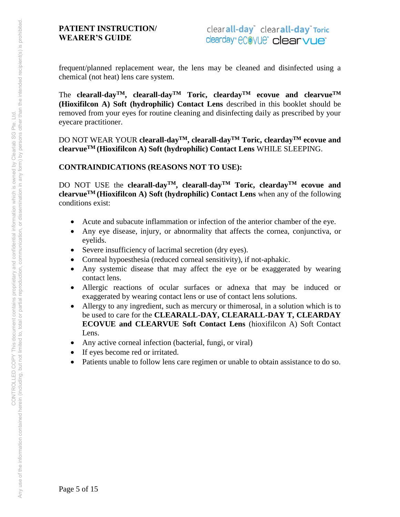frequent/planned replacement wear, the lens may be cleaned and disinfected using a chemical (not heat) lens care system.

The **clearall-dayTM, clearall-dayTM Toric, cleardayTM ecovue and clearvueTM (Hioxifilcon A) Soft (hydrophilic) Contact Lens** described in this booklet should be removed from your eyes for routine cleaning and disinfecting daily as prescribed by your eyecare practitioner.

DO NOT WEAR YOUR **clearall-dayTM, clearall-dayTM Toric, cleardayTM ecovue and clearvueTM (Hioxifilcon A) Soft (hydrophilic) Contact Lens** WHILE SLEEPING.

**CONTRAINDICATIONS (REASONS NOT TO USE):** 

DO NOT USE the **clearall-dayTM, clearall-dayTM Toric, cleardayTM ecovue and clearvueTM (Hioxifilcon A) Soft (hydrophilic) Contact Lens** when any of the following conditions exist:

- Acute and subacute inflammation or infection of the anterior chamber of the eye.
- Any eye disease, injury, or abnormality that affects the cornea, conjunctiva, or eyelids.
- Severe insufficiency of lacrimal secretion (dry eyes).
- Corneal hypoesthesia (reduced corneal sensitivity), if not-aphakic.
- Any systemic disease that may affect the eye or be exaggerated by wearing contact lens.
- Allergic reactions of ocular surfaces or adnexa that may be induced or exaggerated by wearing contact lens or use of contact lens solutions.
- Allergy to any ingredient, such as mercury or thimerosal, in a solution which is to be used to care for the **CLEARALL-DAY, CLEARALL-DAY T, CLEARDAY ECOVUE and CLEARVUE Soft Contact Lens** (hioxifilcon A) Soft Contact Lens.
- Any active corneal infection (bacterial, fungi, or viral)
- If eyes become red or irritated.
- Patients unable to follow lens care regimen or unable to obtain assistance to do so.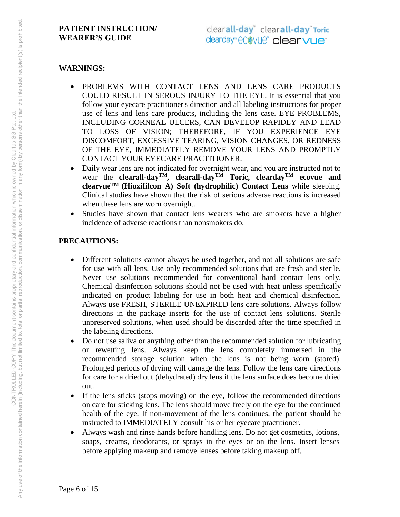#### **WARNINGS:**

- PROBLEMS WITH CONTACT LENS AND LENS CARE PRODUCTS COULD RESULT IN SEROUS INJURY TO THE EYE. It is essential that you follow your eyecare practitioner's direction and all labeling instructions for proper use of lens and lens care products, including the lens case. EYE PROBLEMS, INCLUDING CORNEAL ULCERS, CAN DEVELOP RAPIDLY AND LEAD TO LOSS OF VISION; THEREFORE, IF YOU EXPERIENCE EYE DISCOMFORT, EXCESSIVE TEARING, VISION CHANGES, OR REDNESS OF THE EYE, IMMEDIATELY REMOVE YOUR LENS AND PROMPTLY CONTACT YOUR EYECARE PRACTITIONER.
- Daily wear lens are not indicated for overnight wear, and you are instructed not to wear the **clearall-dayTM, clearall-dayTM Toric, cleardayTM ecovue and clearvueTM (Hioxifilcon A) Soft (hydrophilic) Contact Lens** while sleeping. Clinical studies have shown that the risk of serious adverse reactions is increased when these lens are worn overnight.
- Studies have shown that contact lens wearers who are smokers have a higher incidence of adverse reactions than nonsmokers do.

#### **PRECAUTIONS:**

- Different solutions cannot always be used together, and not all solutions are safe for use with all lens. Use only recommended solutions that are fresh and sterile. Never use solutions recommended for conventional hard contact lens only. Chemical disinfection solutions should not be used with heat unless specifically indicated on product labeling for use in both heat and chemical disinfection. Always use FRESH, STERILE UNEXPIRED lens care solutions. Always follow directions in the package inserts for the use of contact lens solutions. Sterile unpreserved solutions, when used should be discarded after the time specified in the labeling directions.
- Do not use saliva or anything other than the recommended solution for lubricating or rewetting lens. Always keep the lens completely immersed in the recommended storage solution when the lens is not being worn (stored). Prolonged periods of drying will damage the lens. Follow the lens care directions for care for a dried out (dehydrated) dry lens if the lens surface does become dried out.
- If the lens sticks (stops moving) on the eye, follow the recommended directions on care for sticking lens. The lens should move freely on the eye for the continued health of the eye. If non-movement of the lens continues, the patient should be instructed to IMMEDIATELY consult his or her eyecare practitioner.
- Always wash and rinse hands before handling lens. Do not get cosmetics, lotions, soaps, creams, deodorants, or sprays in the eyes or on the lens. Insert lenses before applying makeup and remove lenses before taking makeup off.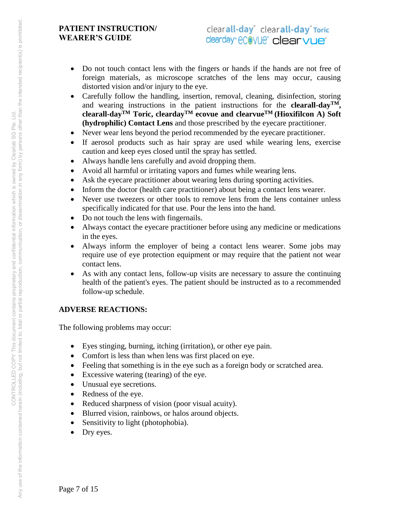- Do not touch contact lens with the fingers or hands if the hands are not free of foreign materials, as microscope scratches of the lens may occur, causing distorted vision and/or injury to the eye.
- Carefully follow the handling, insertion, removal, cleaning, disinfection, storing and wearing instructions in the patient instructions for the **clearall-dayTM, clearall-dayTM Toric, cleardayTM ecovue and clearvueTM (Hioxifilcon A) Soft (hydrophilic) Contact Lens** and those prescribed by the eyecare practitioner.
- Never wear lens beyond the period recommended by the eyecare practitioner.
- If aerosol products such as hair spray are used while wearing lens, exercise caution and keep eyes closed until the spray has settled.
- Always handle lens carefully and avoid dropping them.
- Avoid all harmful or irritating vapors and fumes while wearing lens.
- Ask the eyecare practitioner about wearing lens during sporting activities.
- Inform the doctor (health care practitioner) about being a contact lens wearer.
- Never use tweezers or other tools to remove lens from the lens container unless specifically indicated for that use. Pour the lens into the hand.
- Do not touch the lens with fingernails.
- Always contact the eyecare practitioner before using any medicine or medications in the eyes.
- Always inform the employer of being a contact lens wearer. Some jobs may require use of eye protection equipment or may require that the patient not wear contact lens.
- As with any contact lens, follow-up visits are necessary to assure the continuing health of the patient's eyes. The patient should be instructed as to a recommended follow-up schedule.

# **ADVERSE REACTIONS:**

The following problems may occur:

- Eyes stinging, burning, itching (irritation), or other eye pain.
- Comfort is less than when lens was first placed on eye.
- Feeling that something is in the eye such as a foreign body or scratched area.
- Excessive watering (tearing) of the eye.
- Unusual eye secretions.
- Redness of the eye.
- Reduced sharpness of vision (poor visual acuity).
- Blurred vision, rainbows, or halos around objects.
- Sensitivity to light (photophobia).
- Dry eyes.

Page 7 of 15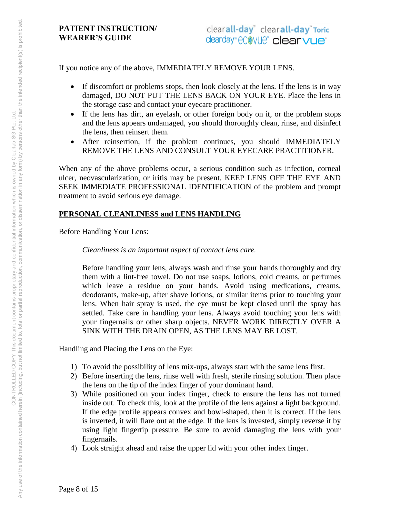If you notice any of the above, IMMEDIATELY REMOVE YOUR LENS.

- If discomfort or problems stops, then look closely at the lens. If the lens is in way damaged, DO NOT PUT THE LENS BACK ON YOUR EYE. Place the lens in the storage case and contact your eyecare practitioner.
- If the lens has dirt, an eyelash, or other foreign body on it, or the problem stops and the lens appears undamaged, you should thoroughly clean, rinse, and disinfect the lens, then reinsert them.
- After reinsertion, if the problem continues, you should IMMEDIATELY REMOVE THE LENS AND CONSULT YOUR EYECARE PRACTITIONER.

When any of the above problems occur, a serious condition such as infection, corneal ulcer, neovascularization, or iritis may be present. KEEP LENS OFF THE EYE AND SEEK IMMEDIATE PROFESSIONAL IDENTIFICATION of the problem and prompt treatment to avoid serious eye damage.

# **PERSONAL CLEANLINESS and LENS HANDLING**

Before Handling Your Lens:

*Cleanliness is an important aspect of contact lens care.* 

Before handling your lens, always wash and rinse your hands thoroughly and dry them with a lint-free towel. Do not use soaps, lotions, cold creams, or perfumes which leave a residue on your hands. Avoid using medications, creams, deodorants, make-up, after shave lotions, or similar items prior to touching your lens. When hair spray is used, the eye must be kept closed until the spray has settled. Take care in handling your lens. Always avoid touching your lens with your fingernails or other sharp objects. NEVER WORK DIRECTLY OVER A SINK WITH THE DRAIN OPEN, AS THE LENS MAY BE LOST.

Handling and Placing the Lens on the Eye:

- 1) To avoid the possibility of lens mix-ups, always start with the same lens first.
- 2) Before inserting the lens, rinse well with fresh, sterile rinsing solution. Then place the lens on the tip of the index finger of your dominant hand.
- 3) While positioned on your index finger, check to ensure the lens has not turned inside out. To check this, look at the profile of the lens against a light background. If the edge profile appears convex and bowl-shaped, then it is correct. If the lens is inverted, it will flare out at the edge. If the lens is invested, simply reverse it by using light fingertip pressure. Be sure to avoid damaging the lens with your fingernails.
- 4) Look straight ahead and raise the upper lid with your other index finger.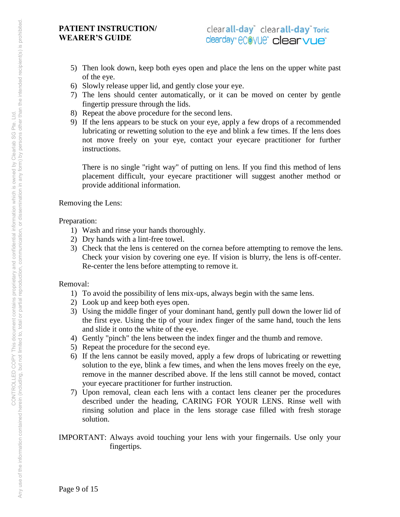- 5) Then look down, keep both eyes open and place the lens on the upper white past of the eye.
- 6) Slowly release upper lid, and gently close your eye.
- 7) The lens should center automatically, or it can be moved on center by gentle fingertip pressure through the lids.
- 8) Repeat the above procedure for the second lens.
- 9) If the lens appears to be stuck on your eye, apply a few drops of a recommended lubricating or rewetting solution to the eye and blink a few times. If the lens does not move freely on your eye, contact your eyecare practitioner for further instructions.

There is no single "right way" of putting on lens. If you find this method of lens placement difficult, your eyecare practitioner will suggest another method or provide additional information.

Removing the Lens:

# Preparation:

- 1) Wash and rinse your hands thoroughly.
- 2) Dry hands with a lint-free towel.
- 3) Check that the lens is centered on the cornea before attempting to remove the lens. Check your vision by covering one eye. If vision is blurry, the lens is off-center. Re-center the lens before attempting to remove it.

# Removal:

- 1) To avoid the possibility of lens mix-ups, always begin with the same lens.
- 2) Look up and keep both eyes open.
- 3) Using the middle finger of your dominant hand, gently pull down the lower lid of the first eye. Using the tip of your index finger of the same hand, touch the lens and slide it onto the white of the eye.
- 4) Gently "pinch" the lens between the index finger and the thumb and remove.
- 5) Repeat the procedure for the second eye.
- 6) If the lens cannot be easily moved, apply a few drops of lubricating or rewetting solution to the eye, blink a few times, and when the lens moves freely on the eye, remove in the manner described above. If the lens still cannot be moved, contact your eyecare practitioner for further instruction.
- 7) Upon removal, clean each lens with a contact lens cleaner per the procedures described under the heading, CARING FOR YOUR LENS. Rinse well with rinsing solution and place in the lens storage case filled with fresh storage solution.
- IMPORTANT: Always avoid touching your lens with your fingernails. Use only your fingertips.

Page 9 of 15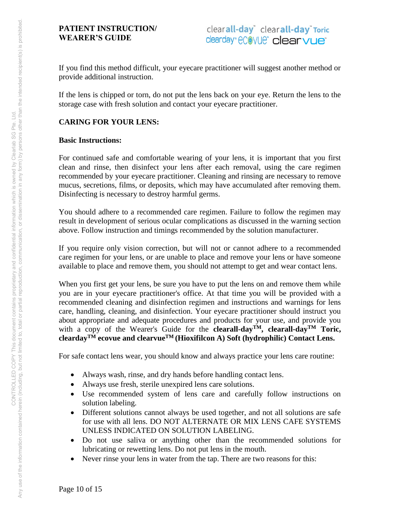If you find this method difficult, your eyecare practitioner will suggest another method or provide additional instruction.

If the lens is chipped or torn, do not put the lens back on your eye. Return the lens to the storage case with fresh solution and contact your eyecare practitioner.

# **CARING FOR YOUR LENS:**

#### **Basic Instructions:**

For continued safe and comfortable wearing of your lens, it is important that you first clean and rinse, then disinfect your lens after each removal, using the care regimen recommended by your eyecare practitioner. Cleaning and rinsing are necessary to remove mucus, secretions, films, or deposits, which may have accumulated after removing them. Disinfecting is necessary to destroy harmful germs.

You should adhere to a recommended care regimen. Failure to follow the regimen may result in development of serious ocular complications as discussed in the warning section above. Follow instruction and timings recommended by the solution manufacturer.

If you require only vision correction, but will not or cannot adhere to a recommended care regimen for your lens, or are unable to place and remove your lens or have someone available to place and remove them, you should not attempt to get and wear contact lens.

When you first get your lens, be sure you have to put the lens on and remove them while you are in your eyecare practitioner's office. At that time you will be provided with a recommended cleaning and disinfection regimen and instructions and warnings for lens care, handling, cleaning, and disinfection. Your eyecare practitioner should instruct you about appropriate and adequate procedures and products for your use, and provide you with a copy of the Wearer's Guide for the **clearall-day<sup>TM</sup>**, **clearall-day<sup>TM</sup> Toric, cleardayTM ecovue and clearvueTM (Hioxifilcon A) Soft (hydrophilic) Contact Lens.**

For safe contact lens wear, you should know and always practice your lens care routine:

- Always wash, rinse, and dry hands before handling contact lens.
- Always use fresh, sterile unexpired lens care solutions.
- Use recommended system of lens care and carefully follow instructions on solution labeling.
- Different solutions cannot always be used together, and not all solutions are safe for use with all lens. DO NOT ALTERNATE OR MIX LENS CAFE SYSTEMS UNLESS INDICATED ON SOLUTION LABELING.
- Do not use saliva or anything other than the recommended solutions for lubricating or rewetting lens. Do not put lens in the mouth.
- Never rinse your lens in water from the tap. There are two reasons for this: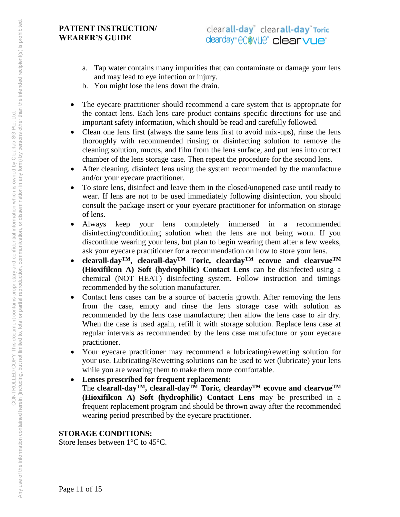- a. Tap water contains many impurities that can contaminate or damage your lens and may lead to eye infection or injury.
- b. You might lose the lens down the drain.
- The eyecare practitioner should recommend a care system that is appropriate for the contact lens. Each lens care product contains specific directions for use and important safety information, which should be read and carefully followed.
- Clean one lens first (always the same lens first to avoid mix-ups), rinse the lens thoroughly with recommended rinsing or disinfecting solution to remove the cleaning solution, mucus, and film from the lens surface, and put lens into correct chamber of the lens storage case. Then repeat the procedure for the second lens.
- After cleaning, disinfect lens using the system recommended by the manufacture and/or your eyecare practitioner.
- To store lens, disinfect and leave them in the closed/unopened case until ready to wear. If lens are not to be used immediately following disinfection, you should consult the package insert or your eyecare practitioner for information on storage of lens.
- Always keep your lens completely immersed in a recommended disinfecting/conditioning solution when the lens are not being worn. If you discontinue wearing your lens, but plan to begin wearing them after a few weeks, ask your eyecare practitioner for a recommendation on how to store your lens.
- **clearall-dayTM, clearall-dayTM Toric, cleardayTM ecovue and clearvueTM (Hioxifilcon A) Soft (hydrophilic) Contact Lens** can be disinfected using a chemical (NOT HEAT) disinfecting system. Follow instruction and timings recommended by the solution manufacturer.
- Contact lens cases can be a source of bacteria growth. After removing the lens from the case, empty and rinse the lens storage case with solution as recommended by the lens case manufacture; then allow the lens case to air dry. When the case is used again, refill it with storage solution. Replace lens case at regular intervals as recommended by the lens case manufacture or your eyecare practitioner.
- Your eyecare practitioner may recommend a lubricating/rewetting solution for your use. Lubricating/Rewetting solutions can be used to wet (lubricate) your lens while you are wearing them to make them more comfortable.
- **Lenses prescribed for frequent replacement:**  The **clearall-dayTM, clearall-dayTM Toric, cleardayTM ecovue and clearvueTM (Hioxifilcon A) Soft (hydrophilic) Contact Lens** may be prescribed in a frequent replacement program and should be thrown away after the recommended wearing period prescribed by the eyecare practitioner.

# **STORAGE CONDITIONS:**

Store lenses between 1°C to 45°C.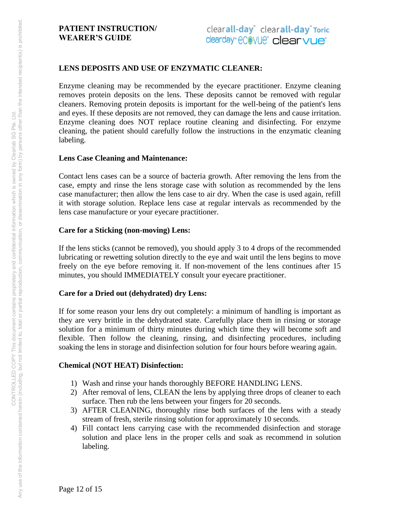# **LENS DEPOSITS AND USE OF ENZYMATIC CLEANER:**

Enzyme cleaning may be recommended by the eyecare practitioner. Enzyme cleaning removes protein deposits on the lens. These deposits cannot be removed with regular cleaners. Removing protein deposits is important for the well-being of the patient's lens and eyes. If these deposits are not removed, they can damage the lens and cause irritation. Enzyme cleaning does NOT replace routine cleaning and disinfecting. For enzyme cleaning, the patient should carefully follow the instructions in the enzymatic cleaning labeling.

#### **Lens Case Cleaning and Maintenance:**

Contact lens cases can be a source of bacteria growth. After removing the lens from the case, empty and rinse the lens storage case with solution as recommended by the lens case manufacturer; then allow the lens case to air dry. When the case is used again, refill it with storage solution. Replace lens case at regular intervals as recommended by the lens case manufacture or your eyecare practitioner.

#### **Care for a Sticking (non-moving) Lens:**

If the lens sticks (cannot be removed), you should apply 3 to 4 drops of the recommended lubricating or rewetting solution directly to the eye and wait until the lens begins to move freely on the eye before removing it. If non-movement of the lens continues after 15 minutes, you should IMMEDIATELY consult your eyecare practitioner.

#### **Care for a Dried out (dehydrated) dry Lens:**

If for some reason your lens dry out completely: a minimum of handling is important as they are very brittle in the dehydrated state. Carefully place them in rinsing or storage solution for a minimum of thirty minutes during which time they will become soft and flexible. Then follow the cleaning, rinsing, and disinfecting procedures, including soaking the lens in storage and disinfection solution for four hours before wearing again.

#### **Chemical (NOT HEAT) Disinfection:**

- 1) Wash and rinse your hands thoroughly BEFORE HANDLING LENS.
- 2) After removal of lens, CLEAN the lens by applying three drops of cleaner to each surface. Then rub the lens between your fingers for 20 seconds.
- 3) AFTER CLEANING, thoroughly rinse both surfaces of the lens with a steady stream of fresh, sterile rinsing solution for approximately 10 seconds.
- 4) Fill contact lens carrying case with the recommended disinfection and storage solution and place lens in the proper cells and soak as recommend in solution labeling.

Page 12 of 15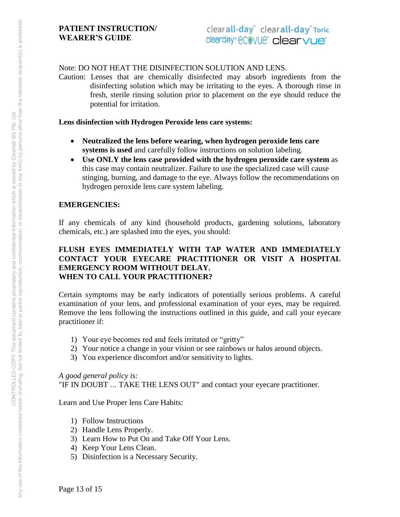Note: DO NOT HEAT THE DISINFECTION SOLUTION AND LENS.

Caution: Lenses that are chemically disinfected may absorb ingredients from the disinfecting solution which may be irritating to the eyes. A thorough rinse in fresh, sterile rinsing solution prior to placement on the eye should reduce the potential for irritation.

#### **Lens disinfection with Hydrogen Peroxide lens care systems:**

- **Neutralized the lens before wearing, when hydrogen peroxide lens care systems is used** and carefully follow instructions on solution labeling.
- **Use ONLY the lens case provided with the hydrogen peroxide care system** as this case may contain neutralizer. Failure to use the specialized case will cause stinging, burning, and damage to the eye. Always follow the recommendations on hydrogen peroxide lens care system labeling.

# **EMERGENCIES:**

If any chemicals of any kind (household products, gardening solutions, laboratory chemicals, etc.) are splashed into the eyes, you should:

#### **FLUSH EYES IMMEDIATELY WITH TAP WATER AND IMMEDIATELY CONTACT YOUR EYECARE PRACTITIONER OR VISIT A HOSPITAL EMERGENCY ROOM WITHOUT DELAY. WHEN TO CALL YOUR PRACTITIONER?**

Certain symptoms may be early indicators of potentially serious problems. A careful examination of your lens, and professional examination of your eyes, may be required. Remove the lens following the instructions outlined in this guide, and call your eyecare practitioner if:

- 1) Your eye becomes red and feels irritated or "gritty"
- 2) Your notice a change in your vision or see rainbows or halos around objects.
- 3) You experience discomfort and/or sensitivity to lights.

*A good general policy is:*

"IF IN DOUBT ... TAKE THE LENS OUT" and contact your eyecare practitioner.

Learn and Use Proper lens Care Habits:

- 1) Follow Instructions
- 2) Handle Lens Properly.
- 3) Learn How to Put On and Take Off Your Lens.
- 4) Keep Your Lens Clean.
- 5) Disinfection is a Necessary Security.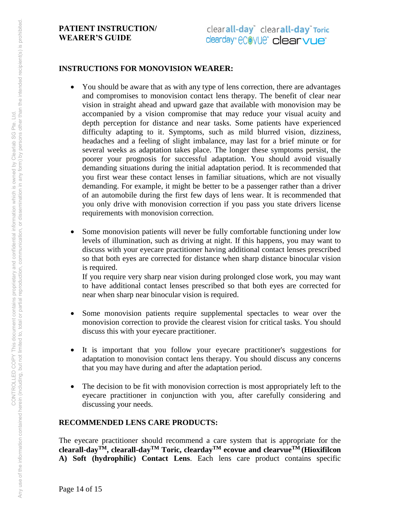#### **INSTRUCTIONS FOR MONOVISION WEARER:**

- You should be aware that as with any type of lens correction, there are advantages and compromises to monovision contact lens therapy. The benefit of clear near vision in straight ahead and upward gaze that available with monovision may be accompanied by a vision compromise that may reduce your visual acuity and depth perception for distance and near tasks. Some patients have experienced difficulty adapting to it. Symptoms, such as mild blurred vision, dizziness, headaches and a feeling of slight imbalance, may last for a brief minute or for several weeks as adaptation takes place. The longer these symptoms persist, the poorer your prognosis for successful adaptation. You should avoid visually demanding situations during the initial adaptation period. It is recommended that you first wear these contact lenses in familiar situations, which are not visually demanding. For example, it might be better to be a passenger rather than a driver of an automobile during the first few days of lens wear. It is recommended that you only drive with monovision correction if you pass you state drivers license requirements with monovision correction.
- Some monovision patients will never be fully comfortable functioning under low levels of illumination, such as driving at night. If this happens, you may want to discuss with your eyecare practitioner having additional contact lenses prescribed so that both eyes are corrected for distance when sharp distance binocular vision is required.

If you require very sharp near vision during prolonged close work, you may want to have additional contact lenses prescribed so that both eyes are corrected for near when sharp near binocular vision is required.

- Some monovision patients require supplemental spectacles to wear over the monovision correction to provide the clearest vision for critical tasks. You should discuss this with your eyecare practitioner.
- It is important that you follow your eyecare practitioner's suggestions for adaptation to monovision contact lens therapy. You should discuss any concerns that you may have during and after the adaptation period.
- The decision to be fit with monovision correction is most appropriately left to the eyecare practitioner in conjunction with you, after carefully considering and discussing your needs.

# **RECOMMENDED LENS CARE PRODUCTS:**

The eyecare practitioner should recommend a care system that is appropriate for the **clearall-dayTM, clearall-dayTM Toric, cleardayTM ecovue and clearvueTM (Hioxifilcon A) Soft (hydrophilic) Contact Lens**. Each lens care product contains specific